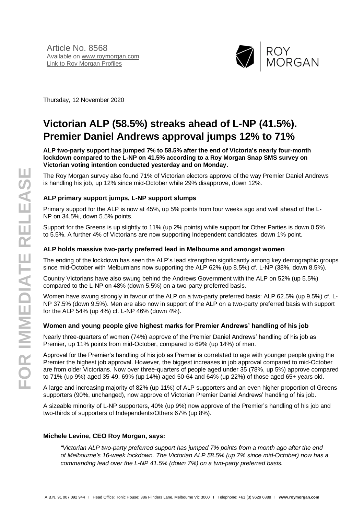

Thursday, 12 November 2020

# **Victorian ALP (58.5%) streaks ahead of L-NP (41.5%). Premier Daniel Andrews approval jumps 12% to 71%**

#### **ALP two-party support has jumped 7% to 58.5% after the end of Victoria's nearly four-month lockdown compared to the L-NP on 41.5% according to a Roy Morgan Snap SMS survey on Victorian voting intention conducted yesterday and on Monday.**

The Roy Morgan survey also found 71% of Victorian electors approve of the way Premier Daniel Andrews is handling his job, up 12% since mid-October while 29% disapprove, down 12%.

### **ALP primary support jumps, L-NP support slumps**

Primary support for the ALP is now at 45%, up 5% points from four weeks ago and well ahead of the L-NP on 34.5%, down 5.5% points.

Support for the Greens is up slightly to 11% (up 2% points) while support for Other Parties is down 0.5% to 5.5%. A further 4% of Victorians are now supporting Independent candidates, down 1% point.

#### **ALP holds massive two-party preferred lead in Melbourne and amongst women**

The ending of the lockdown has seen the ALP's lead strengthen significantly among key demographic groups since mid-October with Melburnians now supporting the ALP 62% (up 8.5%) cf. L-NP (38%, down 8.5%).

Country Victorians have also swung behind the Andrews Government with the ALP on 52% (up 5.5%) compared to the L-NP on 48% (down 5.5%) on a two-party preferred basis.

Women have swung strongly in favour of the ALP on a two-party preferred basis: ALP 62.5% (up 9.5%) cf. L-NP 37.5% (down 9.5%). Men are also now in support of the ALP on a two-party preferred basis with support for the ALP 54% (up 4%) cf. L-NP 46% (down 4%).

#### **Women and young people give highest marks for Premier Andrews' handling of his job**

Nearly three-quarters of women (74%) approve of the Premier Daniel Andrews' handling of his job as Premier, up 11% points from mid-October, compared to 69% (up 14%) of men.

Approval for the Premier's handling of his job as Premier is correlated to age with younger people giving the Premier the highest job approval. However, the biggest increases in job approval compared to mid-October are from older Victorians. Now over three-quarters of people aged under 35 (78%, up 5%) approve compared to 71% (up 9%) aged 35-49, 69% (up 14%) aged 50-64 and 64% (up 22%) of those aged 65+ years old.

A large and increasing majority of 82% (up 11%) of ALP supporters and an even higher proportion of Greens supporters (90%, unchanged), now approve of Victorian Premier Daniel Andrews' handling of his job.

A sizeable minority of L-NP supporters, 40% (up 9%) now approve of the Premier's handling of his job and two-thirds of supporters of Independents/Others 67% (up 8%).

#### **Michele Levine, CEO Roy Morgan, says:**

*"Victorian ALP two-party preferred support has jumped 7% points from a month ago after the end of Melbourne's 16-week lockdown. The Victorian ALP 58.5% (up 7% since mid-October) now has a commanding lead over the L-NP 41.5% (down 7%) on a two-party preferred basis.*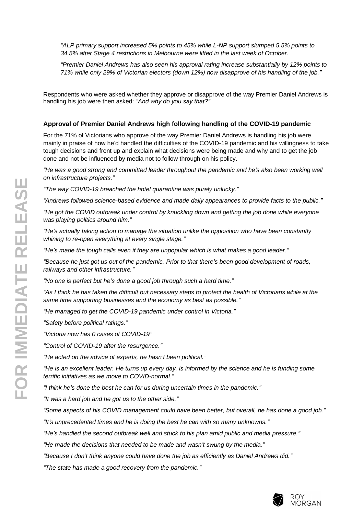*"ALP primary support increased 5% points to 45% while L-NP support slumped 5.5% points to 34.5% after Stage 4 restrictions in Melbourne were lifted in the last week of October.*

*"Premier Daniel Andrews has also seen his approval rating increase substantially by 12% points to 71% while only 29% of Victorian electors (down 12%) now disapprove of his handling of the job."*

Respondents who were asked whether they approve or disapprove of the way Premier Daniel Andrews is handling his job were then asked: *"And why do you say that?"*

#### **Approval of Premier Daniel Andrews high following handling of the COVID-19 pandemic**

For the 71% of Victorians who approve of the way Premier Daniel Andrews is handling his job were mainly in praise of how he'd handled the difficulties of the COVID-19 pandemic and his willingness to take tough decisions and front up and explain what decisions were being made and why and to get the job done and not be influenced by media not to follow through on his policy.

*"He was a good strong and committed leader throughout the pandemic and he's also been working well on infrastructure projects."*

*"The way COVID-19 breached the hotel quarantine was purely unlucky."*

*"Andrews followed science-based evidence and made daily appearances to provide facts to the public."*

*"He got the COVID outbreak under control by knuckling down and getting the job done while everyone was playing politics around him."*

*"He's actually taking action to manage the situation unlike the opposition who have been constantly whining to re-open everything at every single stage."*

*"He's made the tough calls even if they are unpopular which is what makes a good leader."*

*"Because he just got us out of the pandemic. Prior to that there's been good development of roads, railways and other infrastructure."*

*"No one is perfect but he's done a good job through such a hard time."*

*"As I think he has taken the difficult but necessary steps to protect the health of Victorians while at the same time supporting businesses and the economy as best as possible."*

*"He managed to get the COVID-19 pandemic under control in Victoria."*

*"Safety before political ratings."*

*"Victoria now has 0 cases of COVID-19"*

*"Control of COVID-19 after the resurgence."*

*"He acted on the advice of experts, he hasn't been political."*

*"He is an excellent leader. He turns up every day, is informed by the science and he is funding some terrific initiatives as we move to COVID-normal."*

*"I think he's done the best he can for us during uncertain times in the pandemic."*

*"It was a hard job and he got us to the other side."*

*"Some aspects of his COVID management could have been better, but overall, he has done a good job."*

*"It's unprecedented times and he is doing the best he can with so many unknowns."*

*"He's handled the second outbreak well and stuck to his plan amid public and media pressure."*

*"He made the decisions that needed to be made and wasn't swung by the media."*

*"Because I don't think anyone could have done the job as efficiently as Daniel Andrews did."*

*"The state has made a good recovery from the pandemic."*

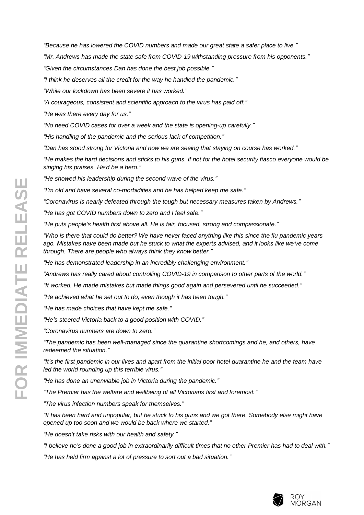*"Because he has lowered the COVID numbers and made our great state a safer place to live."*

*"Mr. Andrews has made the state safe from COVID-19 withstanding pressure from his opponents."*

*"Given the circumstances Dan has done the best job possible."*

*"I think he deserves all the credit for the way he handled the pandemic."*

*"While our lockdown has been severe it has worked."*

*"A courageous, consistent and scientific approach to the virus has paid off."*

*"He was there every day for us."*

*"No need COVID cases for over a week and the state is opening-up carefully."*

*"His handling of the pandemic and the serious lack of competition."*

*"Dan has stood strong for Victoria and now we are seeing that staying on course has worked."*

*"He makes the hard decisions and sticks to his guns. If not for the hotel security fiasco everyone would be singing his praises. He'd be a hero."*

*"He showed his leadership during the second wave of the virus."*

*"I'm old and have several co-morbidities and he has helped keep me safe."*

*"Coronavirus is nearly defeated through the tough but necessary measures taken by Andrews."*

*"He has got COVID numbers down to zero and I feel safe."*

*"He puts people's health first above all. He is fair, focused, strong and compassionate."*

*"Who is there that could do better? We have never faced anything like this since the flu pandemic years ago. Mistakes have been made but he stuck to what the experts advised, and it looks like we've come through. There are people who always think they know better."*

*"He has demonstrated leadership in an incredibly challenging environment."*

*"Andrews has really cared about controlling COVID-19 in comparison to other parts of the world."*

*"It worked. He made mistakes but made things good again and persevered until he succeeded."*

*"He achieved what he set out to do, even though it has been tough."*

*"He has made choices that have kept me safe."*

*"He's steered Victoria back to a good position with COVID."*

*"Coronavirus numbers are down to zero."*

*"The pandemic has been well-managed since the quarantine shortcomings and he, and others, have redeemed the situation."*

*"It's the first pandemic in our lives and apart from the initial poor hotel quarantine he and the team have led the world rounding up this terrible virus."*

*"He has done an unenviable job in Victoria during the pandemic."*

*"The Premier has the welfare and wellbeing of all Victorians first and foremost."*

*"The virus infection numbers speak for themselves."*

*"It has been hard and unpopular, but he stuck to his guns and we got there. Somebody else might have opened up too soon and we would be back where we started."*

*"He doesn't take risks with our health and safety."*

*"I believe he's done a good job in extraordinarily difficult times that no other Premier has had to deal with."*

*"He has held firm against a lot of pressure to sort out a bad situation."*

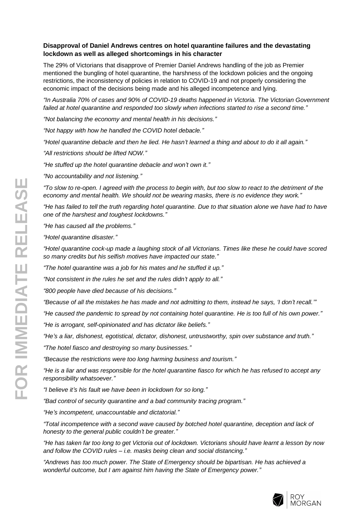# **Disapproval of Daniel Andrews centres on hotel quarantine failures and the devastating lockdown as well as alleged shortcomings in his character**

The 29% of Victorians that disapprove of Premier Daniel Andrews handling of the job as Premier mentioned the bungling of hotel quarantine, the harshness of the lockdown policies and the ongoing restrictions, the inconsistency of policies in relation to COVID-19 and not properly considering the economic impact of the decisions being made and his alleged incompetence and lying.

*"In Australia 70% of cases and 90% of COVID-19 deaths happened in Victoria. The Victorian Government failed at hotel quarantine and responded too slowly when infections started to rise a second time."*

*"Not balancing the economy and mental health in his decisions."*

*"Not happy with how he handled the COVID hotel debacle."*

*"Hotel quarantine debacle and then he lied. He hasn't learned a thing and about to do it all again."*

*"All restrictions should be lifted NOW."*

*"He stuffed up the hotel quarantine debacle and won't own it."*

*"No accountability and not listening."*

*"To slow to re-open. I agreed with the process to begin with, but too slow to react to the detriment of the economy and mental health. We should not be wearing masks, there is no evidence they work."*

*"He has failed to tell the truth regarding hotel quarantine. Due to that situation alone we have had to have one of the harshest and toughest lockdowns."*

*"He has caused all the problems."*

*"Hotel quarantine disaster."*

*"Hotel quarantine cock-up made a laughing stock of all Victorians. Times like these he could have scored so many credits but his selfish motives have impacted our state."*

*"The hotel quarantine was a job for his mates and he stuffed it up."*

*"Not consistent in the rules he set and the rules didn't apply to all."*

*"800 people have died because of his decisions."*

*"Because of all the mistakes he has made and not admitting to them, instead he says, 'I don't recall.'"*

*"He caused the pandemic to spread by not containing hotel quarantine. He is too full of his own power."*

*"He is arrogant, self-opinionated and has dictator like beliefs."*

*"He's a liar, dishonest, egotistical, dictator, dishonest, untrustworthy, spin over substance and truth."*

*"The hotel fiasco and destroying so many businesses."*

*"Because the restrictions were too long harming business and tourism."*

*"He is a liar and was responsible for the hotel quarantine fiasco for which he has refused to accept any responsibility whatsoever."*

*"I believe it's his fault we have been in lockdown for so long."*

*"Bad control of security quarantine and a bad community tracing program."*

*"He's incompetent, unaccountable and dictatorial."*

*"Total incompetence with a second wave caused by botched hotel quarantine, deception and lack of honesty to the general public couldn't be greater."*

*"He has taken far too long to get Victoria out of lockdown. Victorians should have learnt a lesson by now and follow the COVID rules – i.e. masks being clean and social distancing."*

*"Andrews has too much power. The State of Emergency should be bipartisan. He has achieved a wonderful outcome, but I am against him having the State of Emergency power."*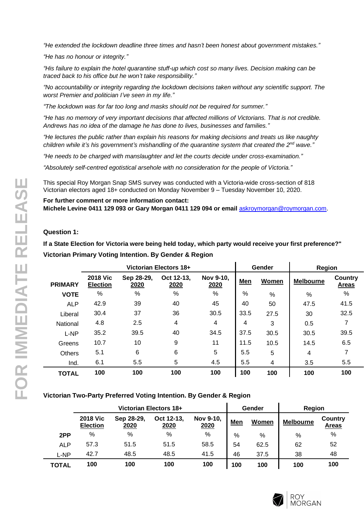*"He extended the lockdown deadline three times and hasn't been honest about government mistakes."*

*"He has no honour or integrity."*

*"His failure to explain the hotel quarantine stuff-up which cost so many lives. Decision making can be traced back to his office but he won't take responsibility."*

*"No accountability or integrity regarding the lockdown decisions taken without any scientific support. The worst Premier and politician I've seen in my life."*

*"The lockdown was for far too long and masks should not be required for summer."*

*"He has no memory of very important decisions that affected millions of Victorians. That is not credible. Andrews has no idea of the damage he has done to lives, businesses and families."*

*"He lectures the public rather than explain his reasons for making decisions and treats us like naughty children while it's his government's mishandling of the quarantine system that created the 2nd wave."*

*"He needs to be charged with manslaughter and let the courts decide under cross-examination."*

*"Absolutely self-centred egotistical arsehole with no consideration for the people of Victoria."*

This special Roy Morgan Snap SMS survey was conducted with a Victoria-wide cross-section of 818 Victorian electors aged 18+ conducted on Monday November 9 – Tuesday November 10, 2020.

**For further comment or more information contact: Michele Levine 0411 129 093 or Gary Morgan 0411 129 094 or email** [askroymorgan@roymorgan.com](mailto:askroymorgan@roymorgan.com).

# **Question 1:**

**If a State Election for Victoria were being held today, which party would receive your first preference?" Victorian Primary Voting Intention. By Gender & Region**

|                | Victorian Electors 18+             |                    |                    |                          |            | Gender | Region           |                         |
|----------------|------------------------------------|--------------------|--------------------|--------------------------|------------|--------|------------------|-------------------------|
| <b>PRIMARY</b> | <b>2018 Vic</b><br><b>Election</b> | Sep 28-29,<br>2020 | Oct 12-13.<br>2020 | Nov 9-10,<br>2020        | <b>Men</b> | Women  | <b>Melbourne</b> | Country<br><b>Areas</b> |
| <b>VOTE</b>    | %                                  | %                  | %                  | %                        | $\%$       | %      | %                | %                       |
| <b>ALP</b>     | 42.9                               | 39                 | 40                 | 45                       | 40         | 50     | 47.5             | 41.5                    |
| Liberal        | 30.4                               | 37                 | 36                 | 30.5                     | 33.5       | 27.5   | 30               | 32.5                    |
| National       | 4.8                                | 2.5                | 4                  | $\overline{\mathcal{A}}$ | 4          | 3      | 0.5              | 7                       |
| L-NP           | 35.2                               | 39.5               | 40                 | 34.5                     | 37.5       | 30.5   | 30.5             | 39.5                    |
| Greens         | 10.7                               | 10                 | 9                  | 11                       | 11.5       | 10.5   | 14.5             | 6.5                     |
| <b>Others</b>  | 5.1                                | 6                  | 6                  | 5                        | 5.5        | 5      | 4                |                         |
| Ind.           | 6.1                                | $5.5\,$            | 5                  | 4.5                      | 5.5        | 4      | 3.5              | 5.5                     |
| <b>TOTAL</b>   | 100                                | 100                | 100                | 100                      | 100        | 100    | 100              | 100                     |

#### **Victorian Two-Party Preferred Voting Intention. By Gender & Region**

|            | Victorian Electors 18+             |                    |                    |                   |     | Gender | Region           |                         |
|------------|------------------------------------|--------------------|--------------------|-------------------|-----|--------|------------------|-------------------------|
|            | <b>2018 Vic</b><br><b>Election</b> | Sep 28-29.<br>2020 | Oct 12-13,<br>2020 | Nov 9-10,<br>2020 | Men | Women  | <b>Melbourne</b> | Country<br><b>Areas</b> |
| 2PP        | %                                  | %                  | $\frac{0}{0}$      | %                 | %   | %      | %                | %                       |
| <b>ALP</b> | 57.3                               | 51.5               | 51.5               | 58.5              | 54  | 62.5   | 62               | 52                      |
| L-NP       | 42.7                               | 48.5               | 48.5               | 41.5              | 46  | 37.5   | 38               | 48                      |
| TOTAL      | 100                                | 100                | 100                | 100               | 100 | 100    | 100              | 100                     |